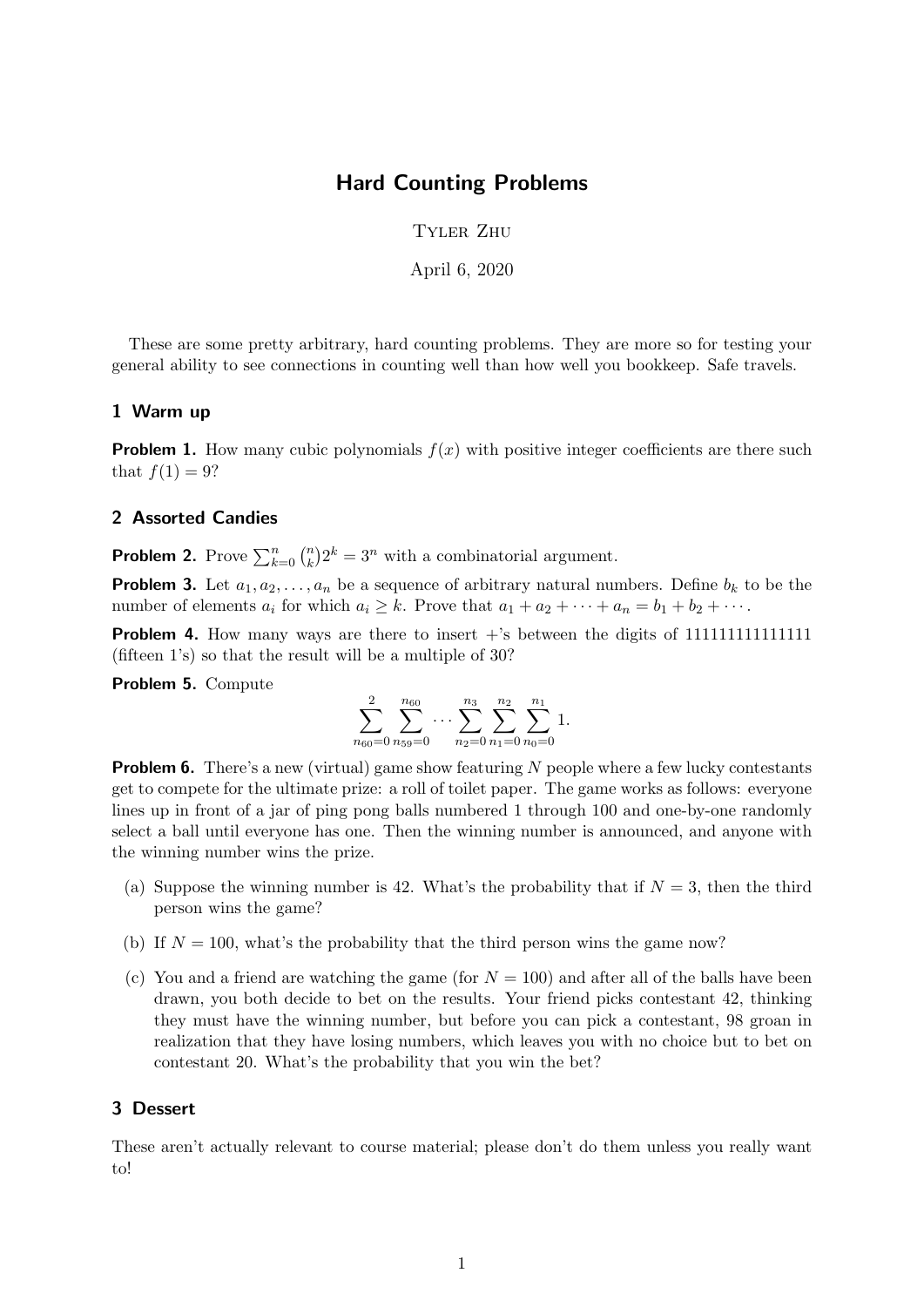## Hard Counting Problems

Tyler Zhu

April 6, 2020

These are some pretty arbitrary, hard counting problems. They are more so for testing your general ability to see connections in counting well than how well you bookkeep. Safe travels.

## 1 Warm up

**Problem 1.** How many cubic polynomials  $f(x)$  with positive integer coefficients are there such that  $f(1) = 9$ ?

## 2 Assorted Candies

**Problem 2.** Prove  $\sum_{k=0}^{n} \binom{n}{k}$  ${k \choose k} 2^k = 3^n$  with a combinatorial argument.

**Problem 3.** Let  $a_1, a_2, \ldots, a_n$  be a sequence of arbitrary natural numbers. Define  $b_k$  to be the number of elements  $a_i$  for which  $a_i \geq k$ . Prove that  $a_1 + a_2 + \cdots + a_n = b_1 + b_2 + \cdots$ .

Problem 4. How many ways are there to insert +'s between the digits of 111111111111111 (fifteen 1's) so that the result will be a multiple of 30?

Problem 5. Compute

$$
\sum_{n_{60}=0}^{2} \sum_{n_{59}=0}^{n_{60}} \cdots \sum_{n_{2}=0}^{n_{3}} \sum_{n_{1}=0}^{n_{2}} \sum_{n_{0}=0}^{n_{1}} 1.
$$

**Problem 6.** There's a new (virtual) game show featuring N people where a few lucky contestants get to compete for the ultimate prize: a roll of toilet paper. The game works as follows: everyone lines up in front of a jar of ping pong balls numbered 1 through 100 and one-by-one randomly select a ball until everyone has one. Then the winning number is announced, and anyone with the winning number wins the prize.

- (a) Suppose the winning number is 42. What's the probability that if  $N = 3$ , then the third person wins the game?
- (b) If  $N = 100$ , what's the probability that the third person wins the game now?
- (c) You and a friend are watching the game (for  $N = 100$ ) and after all of the balls have been drawn, you both decide to bet on the results. Your friend picks contestant 42, thinking they must have the winning number, but before you can pick a contestant, 98 groan in realization that they have losing numbers, which leaves you with no choice but to bet on contestant 20. What's the probability that you win the bet?

## 3 Dessert

These aren't actually relevant to course material; please don't do them unless you really want to!